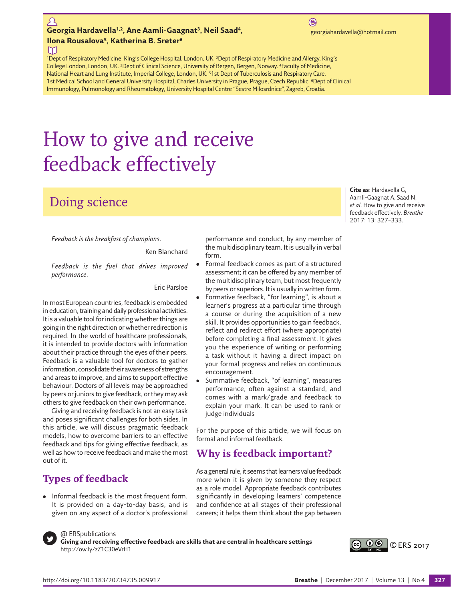#### $\Omega$ Georgia Hardavella<sup>1,2</sup>, Ane Aamli-Gaagnat<sup>3</sup>, Neil Saad<sup>4</sup>, **1,2, Anglic and Aamli-Gaagnat3, Neil Saad**<sup>4</sup>, *and a georgiahardavella@hotmail.com* **Ilona Rousalova5, Katherina B. Sreter6**

 $\circledR$ 

**Cite as**: Hardavella G, Aamli-Gaagnat A, Saad N, *et al*. How to give and receive feedback effectively. *Breathe* 2017; 13: 327–333.

M

1Dept of Respiratory Medicine, King's College Hospital, London, UK. 2Dept of Respiratory Medicine and Allergy, King's College London, London, UK. 3Dept of Clinical Science, University of Bergen, Bergen, Norway. 4Faculty of Medicine, National Heart and Lung Institute, Imperial College, London, UK. 51st Dept of Tuberculosis and Respiratory Care, 1st Medical School and General University Hospital, Charles University in Prague, Prague, Czech Republic. <sup>6</sup>Dept of Clinical Immunology, Pulmonology and Rheumatology, University Hospital Centre "Sestre Milosrdnice", Zagreb, Croatia.

# How to give and receive feedback effectively

# Doing science

*Feedback is the breakfast of champions*.

Ken Blanchard

*Feedback is the fuel that drives improved performance*.

Eric Parsloe

In most European countries, feedback is embedded in education, training and daily professional activities. It is a valuable tool for indicating whether things are going in the right direction or whether redirection is required. In the world of healthcare professionals, it is intended to provide doctors with information about their practice through the eyes of their peers. Feedback is a valuable tool for doctors to gather information, consolidate their awareness of strengths and areas to improve, and aims to support effective behaviour. Doctors of all levels may be approached by peers or juniors to give feedback, or they may ask others to give feedback on their own performance.

Giving and receiving feedback is not an easy task and poses significant challenges for both sides. In this article, we will discuss pragmatic feedback models, how to overcome barriers to an effective feedback and tips for giving effective feedback, as well as how to receive feedback and make the most out of it.

# **Types of feedback**

Informal feedback is the most frequent form. It is provided on a day-to-day basis, and is given on any aspect of a doctor's professional performance and conduct, by any member of the multidisciplinary team. It is usually in verbal form.

- Formal feedback comes as part of a structured assessment; it can be offered by any member of the multidisciplinary team, but most frequently by peers or superiors. It is usually in written form.
- Formative feedback, "for learning", is about a learner's progress at a particular time through a course or during the acquisition of a new skill. It provides opportunities to gain feedback, reflect and redirect effort (where appropriate) before completing a final assessment. It gives you the experience of writing or performing a task without it having a direct impact on your formal progress and relies on continuous encouragement.
- Summative feedback, "of learning", measures performance, often against a standard, and comes with a mark/grade and feedback to explain your mark. It can be used to rank or judge individuals

For the purpose of this article, we will focus on formal and informal feedback.

# **Why is feedback important?**

As a general rule, it seems that learners value feedback more when it is given by someone they respect as a role model. Appropriate feedback contributes significantly in developing learners' competence and confidence at all stages of their professional careers; it helps them think about the gap between



@ ERSpublications

**Giving and receiving effective feedback are skills that are central in healthcare settings** <http://ow.ly/zZ1C30eVrH1>

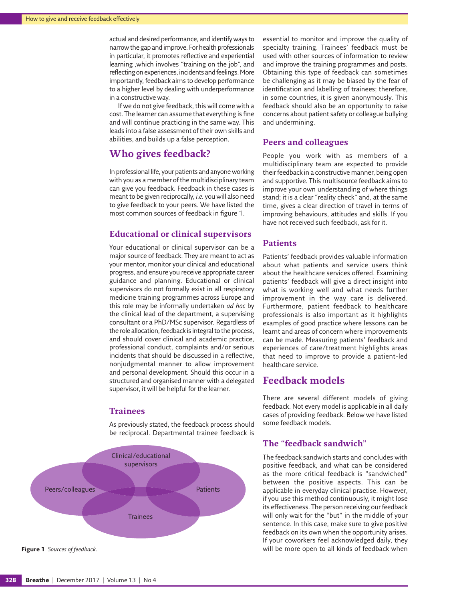actual and desired performance, and identify ways to narrow the gap and improve. For health professionals in particular, it promotes reflective and experiential learning ,which involves "training on the job", and reflecting on experiences, incidents and feelings. More importantly, feedback aims to develop performance to a higher level by dealing with underperformance in a constructive way.

If we do not give feedback, this will come with a cost. The learner can assume that everything is fine and will continue practicing in the same way. This leads into a false assessment of their own skills and abilities, and builds up a false perception.

## **Who gives feedback?**

In professional life, your patients and anyone working with you as a member of the multidisciplinary team can give you feedback. Feedback in these cases is meant to be given reciprocally, *i.e.* you will also need to give feedback to your peers. We have listed the most common sources of feedback in [figure 1.](#page-1-0)

#### **Educational or clinical supervisors**

Your educational or clinical supervisor can be a major source of feedback. They are meant to act as your mentor, monitor your clinical and educational progress, and ensure you receive appropriate career guidance and planning. Educational or clinical supervisors do not formally exist in all respiratory medicine training programmes across Europe and this role may be informally undertaken *ad hoc* by the clinical lead of the department, a supervising consultant or a PhD/MSc supervisor. Regardless of the role allocation, feedback is integral to the process, and should cover clinical and academic practice, professional conduct, complaints and/or serious incidents that should be discussed in a reflective, nonjudgmental manner to allow improvement and personal development. Should this occur in a structured and organised manner with a delegated supervisor, it will be helpful for the learner.

#### **Trainees**

As previously stated, the feedback process should be reciprocal. Departmental trainee feedback is



<span id="page-1-0"></span>**Figure 1** *Sources of feedback.*

essential to monitor and improve the quality of specialty training. Trainees' feedback must be used with other sources of information to review and improve the training programmes and posts. Obtaining this type of feedback can sometimes be challenging as it may be biased by the fear of identification and labelling of trainees; therefore, in some countries, it is given anonymously. This feedback should also be an opportunity to raise concerns about patient safety or colleague bullying and undermining.

#### **Peers and colleagues**

People you work with as members of a multidisciplinary team are expected to provide their feedback in a constructive manner, being open and supportive. This multisource feedback aims to improve your own understanding of where things stand; it is a clear "reality check" and, at the same time, gives a clear direction of travel in terms of improving behaviours, attitudes and skills. If you have not received such feedback, ask for it.

#### **Patients**

Patients' feedback provides valuable information about what patients and service users think about the healthcare services offered. Examining patients' feedback will give a direct insight into what is working well and what needs further improvement in the way care is delivered. Furthermore, patient feedback to healthcare professionals is also important as it highlights examples of good practice where lessons can be learnt and areas of concern where improvements can be made. Measuring patients' feedback and experiences of care/treatment highlights areas that need to improve to provide a patient-led healthcare service.

## **Feedback models**

There are several different models of giving feedback. Not every model is applicable in all daily cases of providing feedback. Below we have listed some feedback models.

### **The "feedback sandwich"**

The feedback sandwich starts and concludes with positive feedback, and what can be considered as the more critical feedback is "sandwiched" between the positive aspects. This can be applicable in everyday clinical practise. However, if you use this method continuously, it might lose its effectiveness. The person receiving our feedback will only wait for the "but" in the middle of your sentence. In this case, make sure to give positive feedback on its own when the opportunity arises. If your coworkers feel acknowledged daily, they will be more open to all kinds of feedback when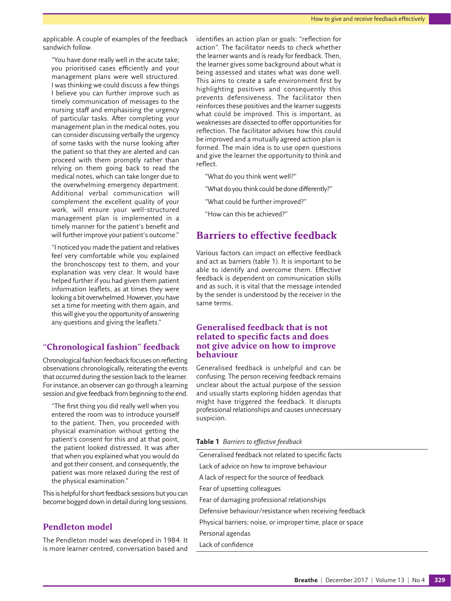applicable. A couple of examples of the feedback sandwich follow.

"You have done really well in the acute take; you prioritised cases efficiently and your management plans were well structured. I was thinking we could discuss a few things I believe you can further improve such as timely communication of messages to the nursing staff and emphasising the urgency of particular tasks. After completing your management plan in the medical notes, you can consider discussing verbally the urgency of some tasks with the nurse looking after the patient so that they are alerted and can proceed with them promptly rather than relying on them going back to read the medical notes, which can take longer due to the overwhelming emergency department. Additional verbal communication will complement the excellent quality of your work, will ensure your well-structured management plan is implemented in a timely manner for the patient's benefit and will further improve your patient's outcome."

"I noticed you made the patient and relatives feel very comfortable while you explained the bronchoscopy test to them, and your explanation was very clear. It would have helped further if you had given them patient information leaflets, as at times they were looking a bit overwhelmed. However, you have set a time for meeting with them again, and this will give you the opportunity of answering any questions and giving the leaflets."

#### **"Chronological fashion" feedback**

Chronological fashion feedback focuses on reflecting observations chronologically, reiterating the events that occurred during the session back to the learner. For instance, an observer can go through a learning session and give feedback from beginning to the end.

"The first thing you did really well when you entered the room was to introduce yourself to the patient. Then, you proceeded with physical examination without getting the patient's consent for this and at that point, the patient looked distressed. It was after that when you explained what you would do and got their consent, and consequently, the patient was more relaxed during the rest of the physical examination."

This is helpful for short feedback sessions but you can become bogged down in detail during long sessions.

#### **Pendleton model**

The Pendleton model was developed in 1984. It is more learner centred, conversation based and identifies an action plan or goals: "reflection for action". The facilitator needs to check whether the learner wants and is ready for feedback. Then, the learner gives some background about what is being assessed and states what was done well. This aims to create a safe environment first by highlighting positives and consequently this prevents defensiveness. The facilitator then reinforces these positives and the learner suggests what could be improved. This is important, as weaknesses are dissected to offer opportunities for reflection. The facilitator advises how this could be improved and a mutually agreed action plan is formed. The main idea is to use open questions and give the learner the opportunity to think and reflect.

- "What do you think went well?"
- "What do you think could be done differently?"
- "What could be further improved?"
- "How can this be achieved?"

## **Barriers to effective feedback**

Various factors can impact on effective feedback and act as barriers ([table](#page-2-0) 1). It is important to be able to identify and overcome them. Effective feedback is dependent on communication skills and as such, it is vital that the message intended by the sender is understood by the receiver in the same terms.

#### **Generalised feedback that is not related to specific facts and does not give advice on how to improve behaviour**

Generalised feedback is unhelpful and can be confusing. The person receiving feedback remains unclear about the actual purpose of the session and usually starts exploring hidden agendas that might have triggered the feedback. It disrupts professional relationships and causes unnecessary suspicion.

#### <span id="page-2-0"></span>**Table 1** *Barriers to effective feedback*

| Generalised feedback not related to specific facts         |
|------------------------------------------------------------|
| Lack of advice on how to improve behaviour                 |
| A lack of respect for the source of feedback               |
| Fear of upsetting colleagues                               |
| Fear of damaging professional relationships                |
| Defensive behaviour/resistance when receiving feedback     |
| Physical barriers: noise, or improper time, place or space |
| Personal agendas                                           |
| Lack of confidence                                         |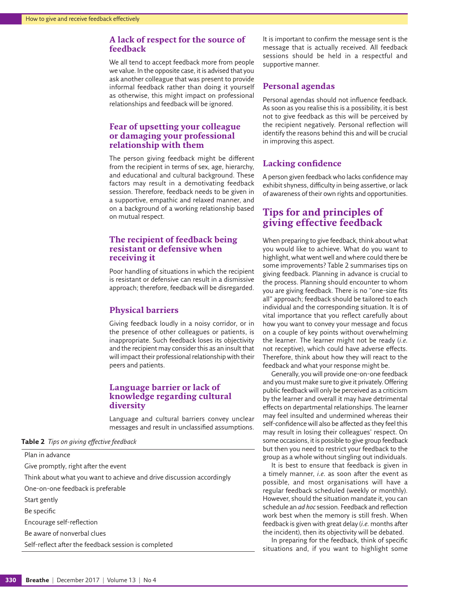#### **A lack of respect for the source of feedback**

We all tend to accept feedback more from people we value. In the opposite case, it is advised that you ask another colleague that was present to provide informal feedback rather than doing it yourself as otherwise, this might impact on professional relationships and feedback will be ignored.

#### **Fear of upsetting your colleague or damaging your professional relationship with them**

The person giving feedback might be different from the recipient in terms of sex, age, hierarchy, and educational and cultural background. These factors may result in a demotivating feedback session. Therefore, feedback needs to be given in a supportive, empathic and relaxed manner, and on a background of a working relationship based on mutual respect.

#### **The recipient of feedback being resistant or defensive when receiving it**

Poor handling of situations in which the recipient is resistant or defensive can result in a dismissive approach; therefore, feedback will be disregarded.

#### **Physical barriers**

Giving feedback loudly in a noisy corridor, or in the presence of other colleagues or patients, is inappropriate. Such feedback loses its objectivity and the recipient may consider this as an insult that will impact their professional relationship with their peers and patients.

#### **Language barrier or lack of knowledge regarding cultural diversity**

Language and cultural barriers convey unclear messages and result in unclassified assumptions.

**Table 2** *Tips on giving effective feedback*

Plan in advance Give promptly, right after the event Think about what you want to achieve and drive discussion accordingly One-on-one feedback is preferable Start gently Be specific Encourage self-reflection Be aware of nonverbal clues Self-reflect after the feedback session is completed

It is important to confirm the message sent is the message that is actually received. All feedback sessions should be held in a respectful and supportive manner.

#### **Personal agendas**

Personal agendas should not influence feedback. As soon as you realise this is a possibility, it is best not to give feedback as this will be perceived by the recipient negatively. Personal reflection will identify the reasons behind this and will be crucial in improving this aspect.

### **Lacking confidence**

A person given feedback who lacks confidence may exhibit shyness, difficulty in being assertive, or lack of awareness of their own rights and opportunities.

## **Tips for and principles of giving effective feedback**

When preparing to give feedback, think about what you would like to achieve. What do you want to highlight, what went well and where could there be some improvements? Table 2 summarises tips on giving feedback. Planning in advance is crucial to the process. Planning should encounter to whom you are giving feedback. There is no "one-size fits all" approach; feedback should be tailored to each individual and the corresponding situation. It is of vital importance that you reflect carefully about how you want to convey your message and focus on a couple of key points without overwhelming the learner. The learner might not be ready (*i.e.* not receptive), which could have adverse effects. Therefore, think about how they will react to the feedback and what your response might be.

Generally, you will provide one-on-one feedback and you must make sure to give it privately. Offering public feedback will only be perceived as a criticism by the learner and overall it may have detrimental effects on departmental relationships. The learner may feel insulted and undermined whereas their self-confidence will also be affected as they feel this may result in losing their colleagues' respect. On some occasions, it is possible to give group feedback but then you need to restrict your feedback to the group as a whole without singling out individuals.

It is best to ensure that feedback is given in a timely manner, *i.e.* as soon after the event as possible, and most organisations will have a regular feedback scheduled (weekly or monthly). However, should the situation mandate it, you can schedule an *ad hoc* session. Feedback and reflection work best when the memory is still fresh. When feedback is given with great delay (*i.e.* months after the incident), then its objectivity will be debated.

In preparing for the feedback, think of specific situations and, if you want to highlight some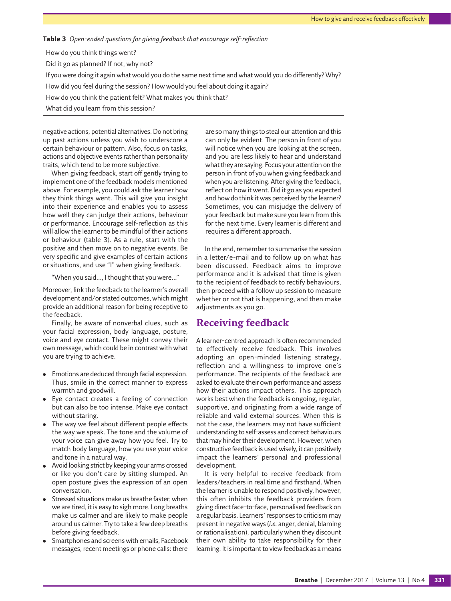<span id="page-4-0"></span>**Table 3** *Open-ended questions for giving feedback that encourage self-reflection*

How do you think things went?

Did it go as planned? If not, why not?

If you were doing it again what would you do the same next time and what would you do differently? Why?

How did you feel during the session? How would you feel about doing it again?

How do you think the patient felt? What makes you think that?

What did you learn from this session?

negative actions, potential alternatives. Do not bring up past actions unless you wish to underscore a certain behaviour or pattern. Also, focus on tasks, actions and objective events rather than personality traits, which tend to be more subjective.

When giving feedback, start off gently trying to implement one of the feedback models mentioned above. For example, you could ask the learner how they think things went. This will give you insight into their experience and enables you to assess how well they can judge their actions, behaviour or performance. Encourage self-reflection as this will allow the learner to be mindful of their actions or behaviour [\(table 3](#page-4-0)). As a rule, start with the positive and then move on to negative events. Be very specific and give examples of certain actions or situations, and use "I" when giving feedback.

"When you said…, I thought that you were…"

Moreover, link the feedback to the learner's overall development and/or stated outcomes, which might provide an additional reason for being receptive to the feedback.

Finally, be aware of nonverbal clues, such as your facial expression, body language, posture, voice and eye contact. These might convey their own message, which could be in contrast with what you are trying to achieve.

- Emotions are deduced through facial expression. Thus, smile in the correct manner to express warmth and goodwill.
- Eye contact creates a feeling of connection but can also be too intense. Make eye contact without staring.
- The way we feel about different people effects the way we speak. The tone and the volume of your voice can give away how you feel. Try to match body language, how you use your voice and tone in a natural way.
- Avoid looking strict by keeping your arms crossed or like you don't care by sitting slumped. An open posture gives the expression of an open conversation.
- Stressed situations make us breathe faster; when we are tired, it is easy to sigh more. Long breaths make us calmer and are likely to make people around us calmer. Try to take a few deep breaths before giving feedback.
- Smartphones and screens with emails, Facebook messages, recent meetings or phone calls: there

are so many things to steal our attention and this can only be evident. The person in front of you will notice when you are looking at the screen, and you are less likely to hear and understand what they are saying. Focus your attention on the person in front of you when giving feedback and when you are listening. After giving the feedback, reflect on how it went. Did it go as you expected and how do think it was perceived by the learner? Sometimes, you can misjudge the delivery of your feedback but make sure you learn from this for the next time. Every learner is different and requires a different approach.

In the end, remember to summarise the session in a letter/e-mail and to follow up on what has been discussed. Feedback aims to improve performance and it is advised that time is given to the recipient of feedback to rectify behaviours, then proceed with a follow up session to measure whether or not that is happening, and then make adjustments as you go.

## **Receiving feedback**

A learner-centred approach is often recommended to effectively receive feedback. This involves adopting an open-minded listening strategy, reflection and a willingness to improve one's performance. The recipients of the feedback are asked to evaluate their own performance and assess how their actions impact others. This approach works best when the feedback is ongoing, regular, supportive, and originating from a wide range of reliable and valid external sources. When this is not the case, the learners may not have sufficient understanding to self-assess and correct behaviours that may hinder their development. However, when constructive feedback is used wisely, it can positively impact the learners' personal and professional development.

It is very helpful to receive feedback from leaders/teachers in real time and firsthand. When the learner is unable to respond positively, however, this often inhibits the feedback providers from giving direct face-to-face, personalised feedback on a regular basis. Learners' responses to criticism may present in negative ways (*i.e.* anger, denial, blaming or rationalisation), particularly when they discount their own ability to take responsibility for their learning. It is important to view feedback as a means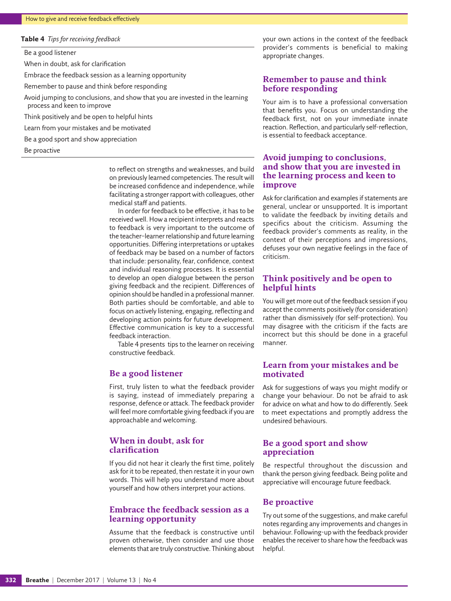#### <span id="page-5-0"></span>**Table 4** *Tips for receiving feedback*

Be a good listener

When in doubt, ask for clarification

Embrace the feedback session as a learning opportunity

Remember to pause and think before responding

Avoid jumping to conclusions, and show that you are invested in the learning process and keen to improve

Think positively and be open to helpful hints

Learn from your mistakes and be motivated

Be a good sport and show appreciation

Be proactive

to reflect on strengths and weaknesses, and build on previously learned competencies. The result will be increased confidence and independence, while facilitating a stronger rapport with colleagues, other medical staff and patients.

In order for feedback to be effective, it has to be received well. How a recipient interprets and reacts to feedback is very important to the outcome of the teacher–learner relationship and future learning opportunities. Differing interpretations or uptakes of feedback may be based on a number of factors that include: personality, fear, confidence, context and individual reasoning processes. It is essential to develop an open dialogue between the person giving feedback and the recipient. Differences of opinion should be handled in a professional manner. Both parties should be comfortable, and able to focus on actively listening, engaging, reflecting and developing action points for future development. Effective communication is key to a successful feedback interaction.

[Table 4](#page-5-0) presents tips to the learner on receiving constructive feedback.

#### **Be a good listener**

First, truly listen to what the feedback provider is saying, instead of immediately preparing a response, defence or attack. The feedback provider will feel more comfortable giving feedback if you are approachable and welcoming.

#### **When in doubt, ask for clarification**

If you did not hear it clearly the first time, politely ask for it to be repeated, then restate it in your own words. This will help you understand more about yourself and how others interpret your actions.

#### **Embrace the feedback session as a learning opportunity**

Assume that the feedback is constructive until proven otherwise, then consider and use those elements that are truly constructive. Thinking about your own actions in the context of the feedback provider's comments is beneficial to making appropriate changes.

#### **Remember to pause and think before responding**

Your aim is to have a professional conversation that benefits you. Focus on understanding the feedback first, not on your immediate innate reaction. Reflection, and particularly self-reflection, is essential to feedback acceptance.

#### **Avoid jumping to conclusions, and show that you are invested in the learning process and keen to improve**

Ask for clarification and examples if statements are general, unclear or unsupported. It is important to validate the feedback by inviting details and specifics about the criticism. Assuming the feedback provider's comments as reality, in the context of their perceptions and impressions, defuses your own negative feelings in the face of criticism.

#### **Think positively and be open to helpful hints**

You will get more out of the feedback session if you accept the comments positively (for consideration) rather than dismissively (for self-protection). You may disagree with the criticism if the facts are incorrect but this should be done in a graceful manner.

#### **Learn from your mistakes and be motivated**

Ask for suggestions of ways you might modify or change your behaviour. Do not be afraid to ask for advice on what and how to do differently. Seek to meet expectations and promptly address the undesired behaviours.

#### **Be a good sport and show appreciation**

Be respectful throughout the discussion and thank the person giving feedback. Being polite and appreciative will encourage future feedback.

#### **Be proactive**

Try out some of the suggestions, and make careful notes regarding any improvements and changes in behaviour. Following-up with the feedback provider enables the receiver to share how the feedback was helpful.